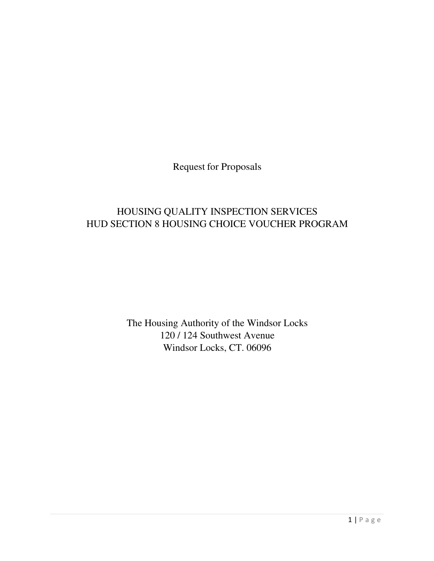Request for Proposals

## HOUSING QUALITY INSPECTION SERVICES HUD SECTION 8 HOUSING CHOICE VOUCHER PROGRAM

The Housing Authority of the Windsor Locks 120 / 124 Southwest Avenue Windsor Locks, CT. 06096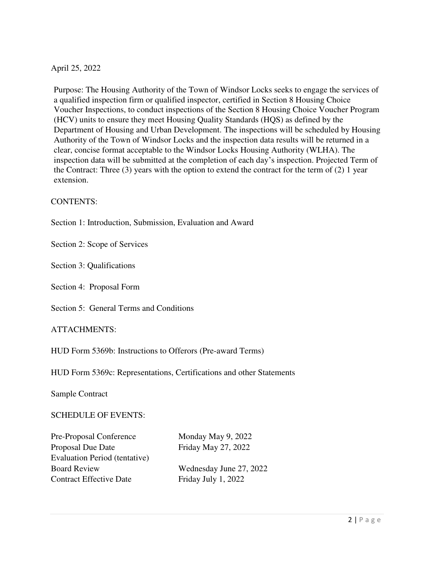## April 25, 2022

Purpose: The Housing Authority of the Town of Windsor Locks seeks to engage the services of a qualified inspection firm or qualified inspector, certified in Section 8 Housing Choice Voucher Inspections, to conduct inspections of the Section 8 Housing Choice Voucher Program (HCV) units to ensure they meet Housing Quality Standards (HQS) as defined by the Department of Housing and Urban Development. The inspections will be scheduled by Housing Authority of the Town of Windsor Locks and the inspection data results will be returned in a clear, concise format acceptable to the Windsor Locks Housing Authority (WLHA). The inspection data will be submitted at the completion of each day's inspection. Projected Term of the Contract: Three (3) years with the option to extend the contract for the term of (2) 1 year extension.

## CONTENTS:

Section 1: Introduction, Submission, Evaluation and Award

Section 2: Scope of Services

Section 3: Qualifications

Section 4: Proposal Form

Section 5: General Terms and Conditions

## ATTACHMENTS:

HUD Form 5369b: Instructions to Offerors (Pre-award Terms)

HUD Form 5369c: Representations, Certifications and other Statements

Sample Contract

### SCHEDULE OF EVENTS:

| Pre-Proposal Conference              | Monday May 9, 2022   |
|--------------------------------------|----------------------|
| Proposal Due Date                    | Friday May 27, 2022  |
| <b>Evaluation Period (tentative)</b> |                      |
| <b>Board Review</b>                  | Wednesday June 27, 2 |
| <b>Contract Effective Date</b>       | Friday July 1, 2022  |

Friday May 27, 2022 Vednesday June 27, 2022 Friday July 1, 2022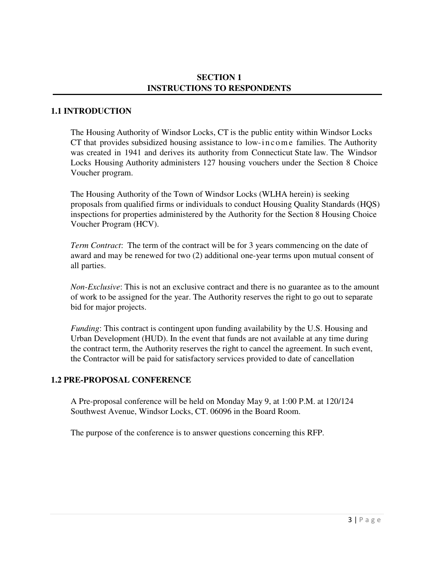## **SECTION 1 INSTRUCTIONS TO RESPONDENTS**

## **1.1 INTRODUCTION**

The Housing Authority of Windsor Locks, CT is the public entity within Windsor Locks CT that provides subsidized housing assistance to low-income families. The Authority was created in 1941 and derives its authority from Connecticut State law. The Windsor Locks Housing Authority administers 127 housing vouchers under the Section 8 Choice Voucher program.

The Housing Authority of the Town of Windsor Locks (WLHA herein) is seeking proposals from qualified firms or individuals to conduct Housing Quality Standards (HQS) inspections for properties administered by the Authority for the Section 8 Housing Choice Voucher Program (HCV).

*Term Contract*: The term of the contract will be for 3 years commencing on the date of award and may be renewed for two (2) additional one-year terms upon mutual consent of all parties.

*Non-Exclusive*: This is not an exclusive contract and there is no guarantee as to the amount of work to be assigned for the year. The Authority reserves the right to go out to separate bid for major projects.

*Funding*: This contract is contingent upon funding availability by the U.S. Housing and Urban Development (HUD). In the event that funds are not available at any time during the contract term, the Authority reserves the right to cancel the agreement. In such event, the Contractor will be paid for satisfactory services provided to date of cancellation

## **1.2 PRE-PROPOSAL CONFERENCE**

A Pre-proposal conference will be held on Monday May 9, at 1:00 P.M. at 120/124 Southwest Avenue, Windsor Locks, CT. 06096 in the Board Room.

The purpose of the conference is to answer questions concerning this RFP.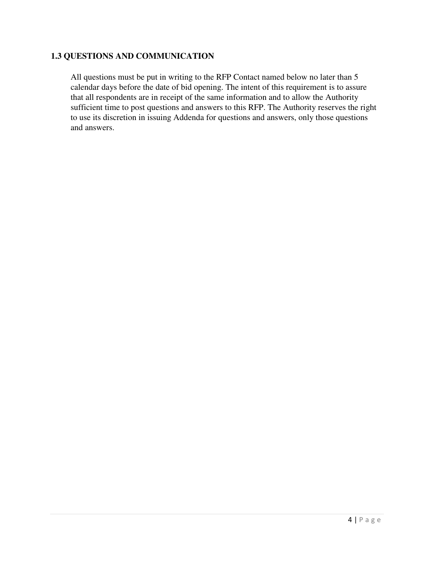## **1.3 QUESTIONS AND COMMUNICATION**

All questions must be put in writing to the RFP Contact named below no later than 5 calendar days before the date of bid opening. The intent of this requirement is to assure that all respondents are in receipt of the same information and to allow the Authority sufficient time to post questions and answers to this RFP. The Authority reserves the right to use its discretion in issuing Addenda for questions and answers, only those questions and answers.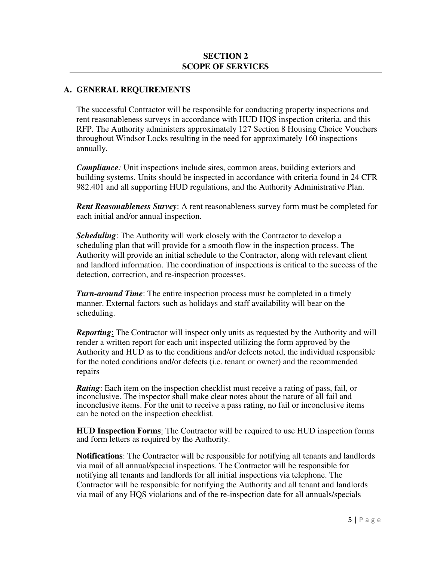## **A. GENERAL REQUIREMENTS**

The successful Contractor will be responsible for conducting property inspections and rent reasonableness surveys in accordance with HUD HQS inspection criteria, and this RFP. The Authority administers approximately 127 Section 8 Housing Choice Vouchers throughout Windsor Locks resulting in the need for approximately 160 inspections annually.

*Compliance:* Unit inspections include sites, common areas, building exteriors and building systems. Units should be inspected in accordance with criteria found in 24 CFR 982.401 and all supporting HUD regulations, and the Authority Administrative Plan.

*Rent Reasonableness Survey*: A rent reasonableness survey form must be completed for each initial and/or annual inspection.

*Scheduling*: The Authority will work closely with the Contractor to develop a scheduling plan that will provide for a smooth flow in the inspection process. The Authority will provide an initial schedule to the Contractor, along with relevant client and landlord information. The coordination of inspections is critical to the success of the detection, correction, and re-inspection processes.

*Turn-around Time*: The entire inspection process must be completed in a timely manner. External factors such as holidays and staff availability will bear on the scheduling.

*Reporting*: The Contractor will inspect only units as requested by the Authority and will render a written report for each unit inspected utilizing the form approved by the Authority and HUD as to the conditions and/or defects noted, the individual responsible for the noted conditions and/or defects (i.e. tenant or owner) and the recommended repairs

*Rating*: Each item on the inspection checklist must receive a rating of pass, fail, or inconclusive. The inspector shall make clear notes about the nature of all fail and inconclusive items. For the unit to receive a pass rating, no fail or inconclusive items can be noted on the inspection checklist.

**HUD Inspection Forms**: The Contractor will be required to use HUD inspection forms and form letters as required by the Authority.

**Notifications**: The Contractor will be responsible for notifying all tenants and landlords via mail of all annual/special inspections. The Contractor will be responsible for notifying all tenants and landlords for all initial inspections via telephone. The Contractor will be responsible for notifying the Authority and all tenant and landlords via mail of any HQS violations and of the re-inspection date for all annuals/specials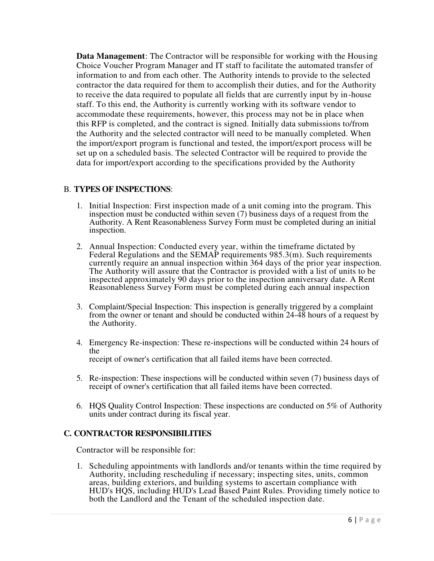**Data Management**: The Contractor will be responsible for working with the Housing Choice Voucher Program Manager and IT staff to facilitate the automated transfer of information to and from each other. The Authority intends to provide to the selected contractor the data required for them to accomplish their duties, and for the Authority to receive the data required to populate all fields that are currently input by in-house staff. To this end, the Authority is currently working with its software vendor to accommodate these requirements, however, this process may not be in place when this RFP is completed, and the contract is signed. Initially data submissions to/from the Authority and the selected contractor will need to be manually completed. When the import/export program is functional and tested, the import/export process will be set up on a scheduled basis. The selected Contractor will be required to provide the data for import/export according to the specifications provided by the Authority

## B. **TYPES OF INSPECTIONS**:

- 1. Initial Inspection: First inspection made of a unit coming into the program. This inspection must be conducted within seven (7) business days of a request from the Authority. A Rent Reasonableness Survey Form must be completed during an initial inspection.
- 2. Annual Inspection: Conducted every year, within the timeframe dictated by Federal Regulations and the SEMAP requirements 985.3(m). Such requirements currently require an annual inspection within 364 days of the prior year inspection. The Authority will assure that the Contractor is provided with a list of units to be inspected approximately 90 days prior to the inspection anniversary date. A Rent Reasonableness Survey Form must be completed during each annual inspection
- 3. Complaint/Special Inspection: This inspection is generally triggered by a complaint from the owner or tenant and should be conducted within 24-48 hours of a request by the Authority.
- 4. Emergency Re-inspection: These re-inspections will be conducted within 24 hours of the receipt of owner's certification that all failed items have been corrected.
- 5. Re-inspection: These inspections will be conducted within seven (7) business days of receipt of owner's certification that all failed items have been corrected.
- 6. HQS Quality Control Inspection: These inspections are conducted on 5% of Authority units under contract during its fiscal year.

## **C. CONTRACTOR RESPONSIBILITIES**

Contractor will be responsible for:

1. Scheduling appointments with landlords and/or tenants within the time required by Authority, including rescheduling if necessary; inspecting sites, units, common areas, building exteriors, and building systems to ascertain compliance with HUD's HQS, including HUD's Lead Based Paint Rules. Providing timely notice to both the Landlord and the Tenant of the scheduled inspection date.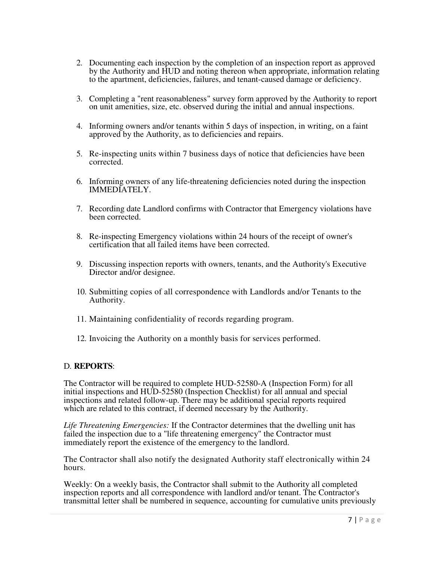- 2. Documenting each inspection by the completion of an inspection report as approved by the Authority and HUD and noting thereon when appropriate, information relating to the apartment, deficiencies, failures, and tenant-caused damage or deficiency.
- 3. Completing a "rent reasonableness" survey form approved by the Authority to report on unit amenities, size, etc. observed during the initial and annual inspections.
- 4. Informing owners and/or tenants within 5 days of inspection, in writing, on a faint approved by the Authority, as to deficiencies and repairs.
- 5. Re-inspecting units within 7 business days of notice that deficiencies have been corrected.
- 6. Informing owners of any life-threatening deficiencies noted during the inspection IMMEDIATELY.
- 7. Recording date Landlord confirms with Contractor that Emergency violations have been corrected.
- 8. Re-inspecting Emergency violations within 24 hours of the receipt of owner's certification that all failed items have been corrected.
- 9. Discussing inspection reports with owners, tenants, and the Authority's Executive Director and/or designee.
- 10. Submitting copies of all correspondence with Landlords and/or Tenants to the Authority.
- 11. Maintaining confidentiality of records regarding program.
- 12. Invoicing the Authority on a monthly basis for services performed.

## D. **REPORTS**:

The Contractor will be required to complete HUD-52580-A (Inspection Form) for all initial inspections and HUD-52580 (Inspection Checklist) for all annual and special inspections and related follow-up. There may be additional special reports required which are related to this contract, if deemed necessary by the Authority.

*Life Threatening Emergencies:* If the Contractor determines that the dwelling unit has failed the inspection due to a "life threatening emergency" the Contractor must immediately report the existence of the emergency to the landlord.

The Contractor shall also notify the designated Authority staff electronically within 24 hours.

Weekly: On a weekly basis, the Contractor shall submit to the Authority all completed inspection reports and all correspondence with landlord and/or tenant. The Contractor's transmittal letter shall be numbered in sequence, accounting for cumulative units previously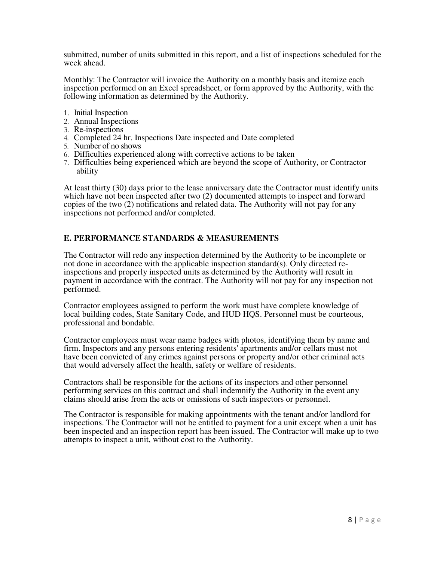submitted, number of units submitted in this report, and a list of inspections scheduled for the week ahead.

Monthly: The Contractor will invoice the Authority on a monthly basis and itemize each inspection performed on an Excel spreadsheet, or form approved by the Authority, with the following information as determined by the Authority.

- 1. Initial Inspection
- 2. Annual Inspections
- 3. Re-inspections
- 4. Completed 24 hr. Inspections Date inspected and Date completed
- 5. Number of no shows
- 6. Difficulties experienced along with corrective actions to be taken
- 7. Difficulties being experienced which are beyond the scope of Authority, or Contractor ability

At least thirty (30) days prior to the lease anniversary date the Contractor must identify units which have not been inspected after two (2) documented attempts to inspect and forward copies of the two (2) notifications and related data. The Authority will not pay for any inspections not performed and/or completed.

## **E. PERFORMANCE STANDARDS & MEASUREMENTS**

The Contractor will redo any inspection determined by the Authority to be incomplete or not done in accordance with the applicable inspection standard(s). Only directed reinspections and properly inspected units as determined by the Authority will result in payment in accordance with the contract. The Authority will not pay for any inspection not performed.

Contractor employees assigned to perform the work must have complete knowledge of local building codes, State Sanitary Code, and HUD HQS. Personnel must be courteous, professional and bondable.

Contractor employees must wear name badges with photos, identifying them by name and firm. Inspectors and any persons entering residents' apartments and/or cellars must not have been convicted of any crimes against persons or property and/or other criminal acts that would adversely affect the health, safety or welfare of residents.

Contractors shall be responsible for the actions of its inspectors and other personnel performing services on this contract and shall indemnify the Authority in the event any claims should arise from the acts or omissions of such inspectors or personnel.

The Contractor is responsible for making appointments with the tenant and/or landlord for inspections. The Contractor will not be entitled to payment for a unit except when a unit has been inspected and an inspection report has been issued. The Contractor will make up to two attempts to inspect a unit, without cost to the Authority.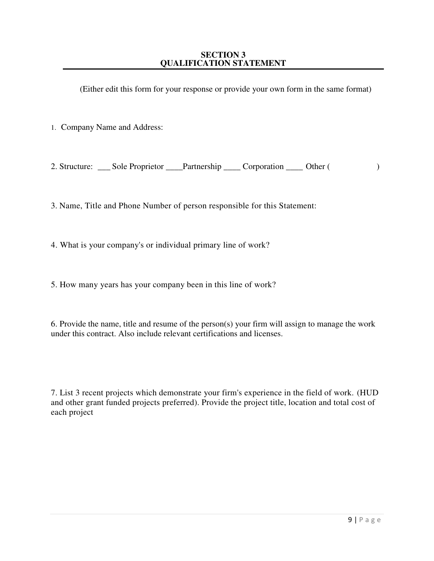### **SECTION 3 QUALIFICATION STATEMENT**

(Either edit this form for your response or provide your own form in the same format)

1. Company Name and Address:

2. Structure: Sole Proprietor Partnership Corporation Other ( )

3. Name, Title and Phone Number of person responsible for this Statement:

4. What is your company's or individual primary line of work?

5. How many years has your company been in this line of work?

6. Provide the name, title and resume of the person(s) your firm will assign to manage the work under this contract. Also include relevant certifications and licenses.

7. List 3 recent projects which demonstrate your firm's experience in the field of work. (HUD and other grant funded projects preferred). Provide the project title, location and total cost of each project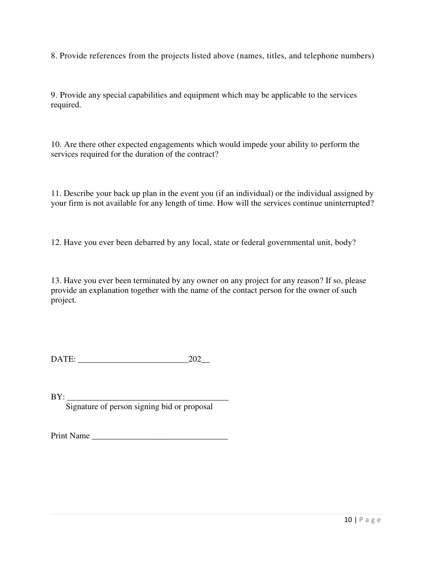8. Provide references from the projects listed above (names, titles, and telephone numbers)

9. Provide any special capabilities and equipment which may be applicable to the services required.

10. Are there other expected engagements which would impede your ability to perform the services required for the duration of the contract?

11. Describe your back up plan in the event you (if an individual) or the individual assigned by your firm is not available for any length of time. How will the services continue uninterrupted?

12. Have you ever been debarred by any local, state or federal governmental unit, body?

13. Have you ever been terminated by any owner on any project for any reason? If so, please provide an explanation together with the name of the contact person for the owner of such project.

DATE: \_\_\_\_\_\_\_\_\_\_\_\_\_\_\_\_\_\_\_\_\_\_\_\_\_\_202\_\_

BY: \_\_\_\_\_\_\_\_\_\_\_\_\_\_\_\_\_\_\_\_\_\_\_\_\_\_\_\_\_\_\_\_\_\_\_\_\_\_ Signature of person signing bid or proposal

Print Name \_\_\_\_\_\_\_\_\_\_\_\_\_\_\_\_\_\_\_\_\_\_\_\_\_\_\_\_\_\_\_\_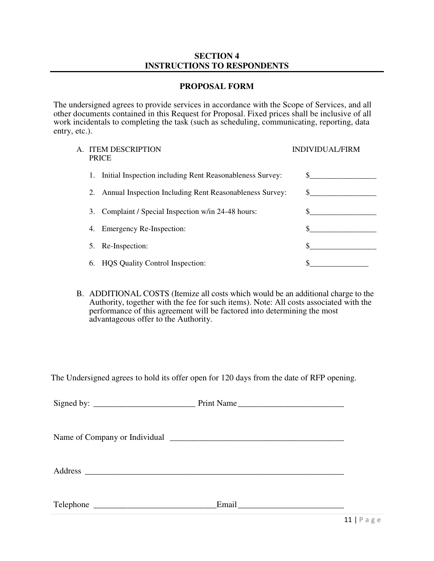## **SECTION 4 INSTRUCTIONS TO RESPONDENTS**

## **PROPOSAL FORM**

The undersigned agrees to provide services in accordance with the Scope of Services, and all other documents contained in this Request for Proposal. Fixed prices shall be inclusive of all work incidentals to completing the task (such as scheduling, communicating, reporting, data entry, etc.).

| А. |    | <b>ITEM DESCRIPTION</b><br><b>PRICE</b>                    | <b>INDIVIDUAL/FIRM</b> |
|----|----|------------------------------------------------------------|------------------------|
|    | 1. | Initial Inspection including Rent Reasonableness Survey:   | $\mathbb{S}^-$         |
|    |    | 2. Annual Inspection Including Rent Reasonableness Survey: | S.                     |
|    | 3. | Complaint / Special Inspection w/in 24-48 hours:           |                        |
|    | 4. | Emergency Re-Inspection:                                   |                        |
|    |    | 5. Re-Inspection:                                          |                        |
|    | 6. | <b>HQS</b> Quality Control Inspection:                     |                        |

B. ADDITIONAL COSTS (Itemize all costs which would be an additional charge to the Authority, together with the fee for such items). Note: All costs associated with the performance of this agreement will be factored into determining the most advantageous offer to the Authority.

The Undersigned agrees to hold its offer open for 120 days from the date of RFP opening.

|           | Print Name |
|-----------|------------|
|           |            |
|           |            |
|           |            |
|           |            |
|           |            |
| Telephone |            |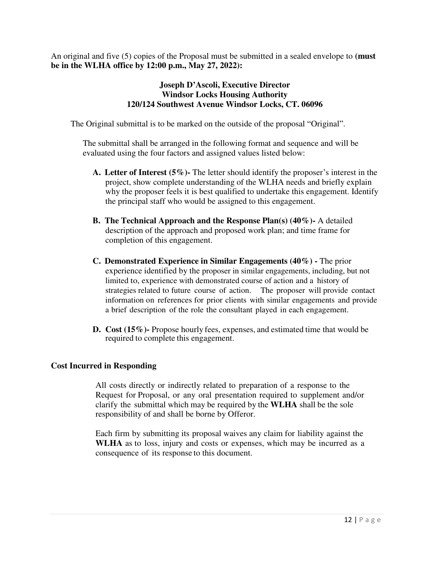An original and five (5) copies of the Proposal must be submitted in a sealed envelope to **(must be in the WLHA office by 12:00 p.m., May 27, 2022):**

## **Joseph D'Ascoli, Executive Director Windsor Locks Housing Authority 120/124 Southwest Avenue Windsor Locks, CT. 06096**

The Original submittal is to be marked on the outside of the proposal "Original".

The submittal shall be arranged in the following format and sequence and will be evaluated using the four factors and assigned values listed below:

- **A. Letter of Interest (5%)-** The letter should identify the proposer's interest in the project, show complete understanding of the WLHA needs and briefly explain why the proposer feels it is best qualified to undertake this engagement. Identify the principal staff who would be assigned to this engagement.
- **B. The Technical Approach and the Response Plan(s) (40%)-** A detailed description of the approach and proposed work plan; and time frame for completion of this engagement.
- **C. Demonstrated Experience in Similar Engagements (40%)** The prior experience identified by the proposer in similar engagements, including, but not limited to, experience with demonstrated course of action and a history of strategies related to future course of action. The proposer will provide contact information on references for prior clients with similar engagements and provide a brief description of the role the consultant played in each engagement.
- **D. Cost (15%)-** Propose hourly fees, expenses, and estimated time that would be required to complete this engagement.

## **Cost Incurred in Responding**

All costs directly or indirectly related to preparation of a response to the Request for Proposal, or any oral presentation required to supplement and/or clarify the submittal which may be required by the **WLHA** shall be the sole responsibility of and shall be borne by Offeror.

Each firm by submitting its proposal waives any claim for liability against the **WLHA** as to loss, injury and costs or expenses, which may be incurred as a consequence of its response to this document.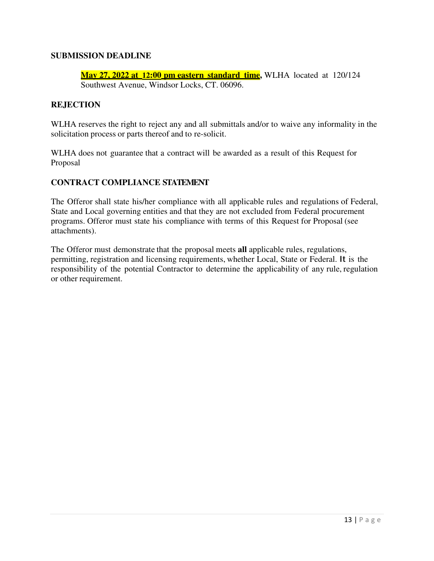## **SUBMISSION DEADLINE**

**May 27, 2022 at 12:00 pm eastern standard time,** WLHA located at 120/124 Southwest Avenue, Windsor Locks, CT. 06096.

## **REJECTION**

WLHA reserves the right to reject any and all submittals and/or to waive any informality in the solicitation process or parts thereof and to re-solicit.

WLHA does not guarantee that a contract will be awarded as a result of this Request for Proposal

## **CONTRACT COMPLIANCE STATEMENT**

The Offeror shall state his/her compliance with all applicable rules and regulations of Federal, State and Local governing entities and that they are not excluded from Federal procurement programs. Offeror must state his compliance with terms of this Request for Proposal (see attachments).

The Offeror must demonstrate that the proposal meets **all** applicable rules, regulations, permitting, registration and licensing requirements, whether Local, State or Federal. It is the responsibility of the potential Contractor to determine the applicability of any rule, regulation or other requirement.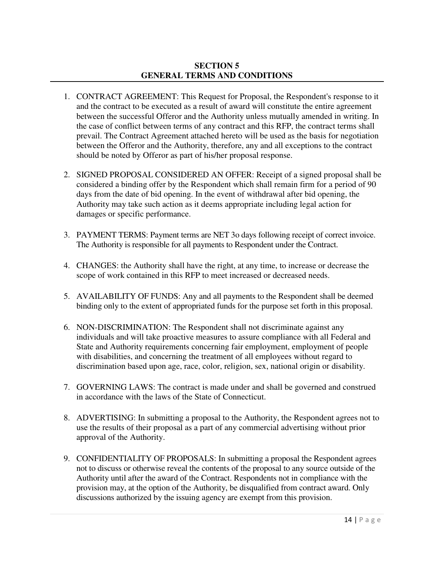## **SECTION 5 GENERAL TERMS AND CONDITIONS**

- 1. CONTRACT AGREEMENT: This Request for Proposal, the Respondent's response to it and the contract to be executed as a result of award will constitute the entire agreement between the successful Offeror and the Authority unless mutually amended in writing. In the case of conflict between terms of any contract and this RFP, the contract terms shall prevail. The Contract Agreement attached hereto will be used as the basis for negotiation between the Offeror and the Authority, therefore, any and all exceptions to the contract should be noted by Offeror as part of his/her proposal response.
- 2. SIGNED PROPOSAL CONSIDERED AN OFFER: Receipt of a signed proposal shall be considered a binding offer by the Respondent which shall remain firm for a period of 90 days from the date of bid opening. In the event of withdrawal after bid opening, the Authority may take such action as it deems appropriate including legal action for damages or specific performance.
- 3. PAYMENT TERMS: Payment terms are NET 3o days following receipt of correct invoice. The Authority is responsible for all payments to Respondent under the Contract.
- 4. CHANGES: the Authority shall have the right, at any time, to increase or decrease the scope of work contained in this RFP to meet increased or decreased needs.
- 5. AVAILABILITY OF FUNDS: Any and all payments to the Respondent shall be deemed binding only to the extent of appropriated funds for the purpose set forth in this proposal.
- 6. NON-DISCRIMINATION: The Respondent shall not discriminate against any individuals and will take proactive measures to assure compliance with all Federal and State and Authority requirements concerning fair employment, employment of people with disabilities, and concerning the treatment of all employees without regard to discrimination based upon age, race, color, religion, sex, national origin or disability.
- 7. GOVERNING LAWS: The contract is made under and shall be governed and construed in accordance with the laws of the State of Connecticut.
- 8. ADVERTISING: In submitting a proposal to the Authority, the Respondent agrees not to use the results of their proposal as a part of any commercial advertising without prior approval of the Authority.
- 9. CONFIDENTIALITY OF PROPOSALS: In submitting a proposal the Respondent agrees not to discuss or otherwise reveal the contents of the proposal to any source outside of the Authority until after the award of the Contract. Respondents not in compliance with the provision may, at the option of the Authority, be disqualified from contract award. Only discussions authorized by the issuing agency are exempt from this provision.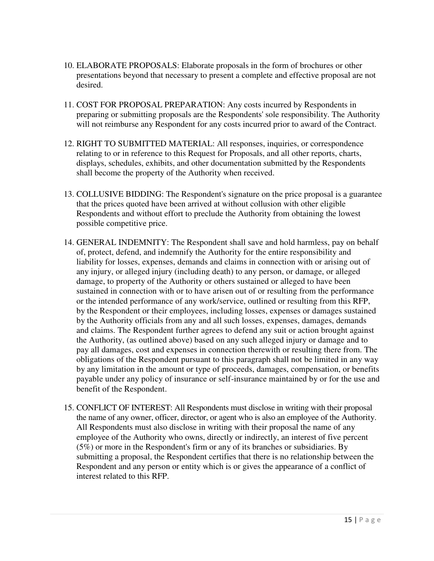- 10. ELABORATE PROPOSALS: Elaborate proposals in the form of brochures or other presentations beyond that necessary to present a complete and effective proposal are not desired.
- 11. COST FOR PROPOSAL PREPARATION: Any costs incurred by Respondents in preparing or submitting proposals are the Respondents' sole responsibility. The Authority will not reimburse any Respondent for any costs incurred prior to award of the Contract.
- 12. RIGHT TO SUBMITTED MATERIAL: All responses, inquiries, or correspondence relating to or in reference to this Request for Proposals, and all other reports, charts, displays, schedules, exhibits, and other documentation submitted by the Respondents shall become the property of the Authority when received.
- 13. COLLUSIVE BIDDING: The Respondent's signature on the price proposal is a guarantee that the prices quoted have been arrived at without collusion with other eligible Respondents and without effort to preclude the Authority from obtaining the lowest possible competitive price.
- 14. GENERAL INDEMNITY: The Respondent shall save and hold harmless, pay on behalf of, protect, defend, and indemnify the Authority for the entire responsibility and liability for losses, expenses, demands and claims in connection with or arising out of any injury, or alleged injury (including death) to any person, or damage, or alleged damage, to property of the Authority or others sustained or alleged to have been sustained in connection with or to have arisen out of or resulting from the performance or the intended performance of any work/service, outlined or resulting from this RFP, by the Respondent or their employees, including losses, expenses or damages sustained by the Authority officials from any and all such losses, expenses, damages, demands and claims. The Respondent further agrees to defend any suit or action brought against the Authority, (as outlined above) based on any such alleged injury or damage and to pay all damages, cost and expenses in connection therewith or resulting there from. The obligations of the Respondent pursuant to this paragraph shall not be limited in any way by any limitation in the amount or type of proceeds, damages, compensation, or benefits payable under any policy of insurance or self-insurance maintained by or for the use and benefit of the Respondent.
- 15. CONFLICT OF INTEREST: All Respondents must disclose in writing with their proposal the name of any owner, officer, director, or agent who is also an employee of the Authority. All Respondents must also disclose in writing with their proposal the name of any employee of the Authority who owns, directly or indirectly, an interest of five percent (5%) or more in the Respondent's firm or any of its branches or subsidiaries. By submitting a proposal, the Respondent certifies that there is no relationship between the Respondent and any person or entity which is or gives the appearance of a conflict of interest related to this RFP.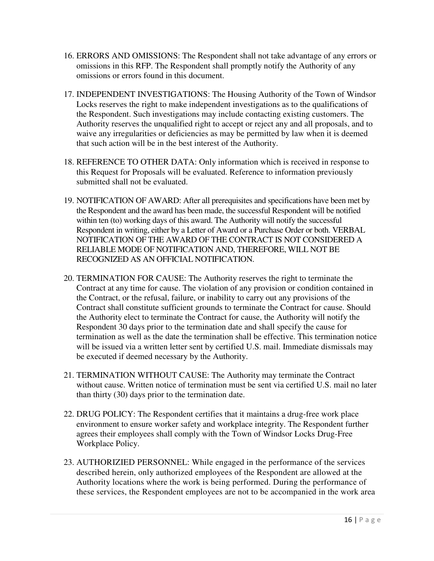- 16. ERRORS AND OMISSIONS: The Respondent shall not take advantage of any errors or omissions in this RFP. The Respondent shall promptly notify the Authority of any omissions or errors found in this document.
- 17. INDEPENDENT INVESTIGATIONS: The Housing Authority of the Town of Windsor Locks reserves the right to make independent investigations as to the qualifications of the Respondent. Such investigations may include contacting existing customers. The Authority reserves the unqualified right to accept or reject any and all proposals, and to waive any irregularities or deficiencies as may be permitted by law when it is deemed that such action will be in the best interest of the Authority.
- 18. REFERENCE TO OTHER DATA: Only information which is received in response to this Request for Proposals will be evaluated. Reference to information previously submitted shall not be evaluated.
- 19. NOTIFICATION OF AWARD: After all prerequisites and specifications have been met by the Respondent and the award has been made, the successful Respondent will be notified within ten (to) working days of this award. The Authority will notify the successful Respondent in writing, either by a Letter of Award or a Purchase Order or both. VERBAL NOTIFICATION OF THE AWARD OF THE CONTRACT IS NOT CONSIDERED A RELIABLE MODE OF NOTIFICATION AND, THEREFORE, WILL NOT BE RECOGNIZED AS AN OFFICIAL NOTIFICATION.
- 20. TERMINATION FOR CAUSE: The Authority reserves the right to terminate the Contract at any time for cause. The violation of any provision or condition contained in the Contract, or the refusal, failure, or inability to carry out any provisions of the Contract shall constitute sufficient grounds to terminate the Contract for cause. Should the Authority elect to terminate the Contract for cause, the Authority will notify the Respondent 30 days prior to the termination date and shall specify the cause for termination as well as the date the termination shall be effective. This termination notice will be issued via a written letter sent by certified U.S. mail. Immediate dismissals may be executed if deemed necessary by the Authority.
- 21. TERMINATION WITHOUT CAUSE: The Authority may terminate the Contract without cause. Written notice of termination must be sent via certified U.S. mail no later than thirty (30) days prior to the termination date.
- 22. DRUG POLICY: The Respondent certifies that it maintains a drug-free work place environment to ensure worker safety and workplace integrity. The Respondent further agrees their employees shall comply with the Town of Windsor Locks Drug-Free Workplace Policy.
- 23. AUTHORIZIED PERSONNEL: While engaged in the performance of the services described herein, only authorized employees of the Respondent are allowed at the Authority locations where the work is being performed. During the performance of these services, the Respondent employees are not to be accompanied in the work area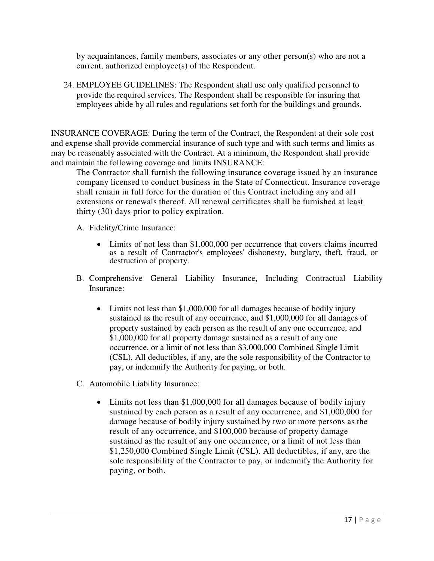by acquaintances, family members, associates or any other person(s) who are not a current, authorized employee(s) of the Respondent.

24. EMPLOYEE GUIDELINES: The Respondent shall use only qualified personnel to provide the required services. The Respondent shall be responsible for insuring that employees abide by all rules and regulations set forth for the buildings and grounds.

INSURANCE COVERAGE: During the term of the Contract, the Respondent at their sole cost and expense shall provide commercial insurance of such type and with such terms and limits as may be reasonably associated with the Contract. At a minimum, the Respondent shall provide and maintain the following coverage and limits INSURANCE:

The Contractor shall furnish the following insurance coverage issued by an insurance company licensed to conduct business in the State of Connecticut. Insurance coverage shall remain in full force for the duration of this Contract including any and all extensions or renewals thereof. All renewal certificates shall be furnished at least thirty (30) days prior to policy expiration.

A. Fidelity/Crime Insurance:

- Limits of not less than \$1,000,000 per occurrence that covers claims incurred as a result of Contractor's employees' dishonesty, burglary, theft, fraud, or destruction of property.
- B. Comprehensive General Liability Insurance, Including Contractual Liability Insurance:
	- Limits not less than \$1,000,000 for all damages because of bodily injury sustained as the result of any occurrence, and \$1,000,000 for all damages of property sustained by each person as the result of any one occurrence, and \$1,000,000 for all property damage sustained as a result of any one occurrence, or a limit of not less than \$3,000,000 Combined Single Limit (CSL). All deductibles, if any, are the sole responsibility of the Contractor to pay, or indemnify the Authority for paying, or both.
- C. Automobile Liability Insurance:
	- Limits not less than \$1,000,000 for all damages because of bodily injury sustained by each person as a result of any occurrence, and \$1,000,000 for damage because of bodily injury sustained by two or more persons as the result of any occurrence, and \$100,000 because of property damage sustained as the result of any one occurrence, or a limit of not less than \$1,250,000 Combined Single Limit (CSL). All deductibles, if any, are the sole responsibility of the Contractor to pay, or indemnify the Authority for paying, or both.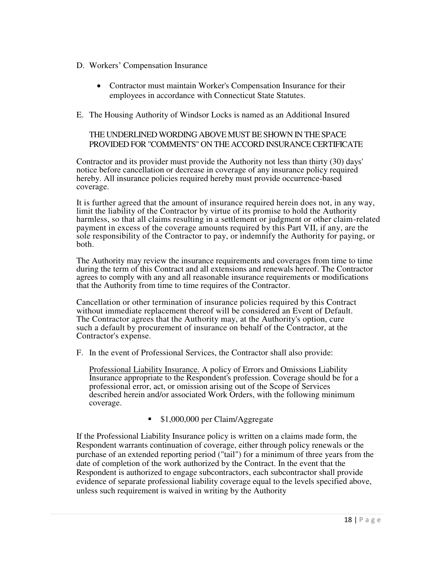- D. Workers' Compensation Insurance
	- Contractor must maintain Worker's Compensation Insurance for their employees in accordance with Connecticut State Statutes.
- E. The Housing Authority of Windsor Locks is named as an Additional Insured

## THE UNDERLINED WORDING ABOVE MUST BE SHOWN IN THE SPACE PROVIDED FOR "COMMENTS" ON THE ACCORD INSURANCE CERTIFICATE

Contractor and its provider must provide the Authority not less than thirty (30) days' notice before cancellation or decrease in coverage of any insurance policy required hereby. All insurance policies required hereby must provide occurrence-based coverage.

It is further agreed that the amount of insurance required herein does not, in any way, limit the liability of the Contractor by virtue of its promise to hold the Authority harmless, so that all claims resulting in a settlement or judgment or other claim-related payment in excess of the coverage amounts required by this Part VII, if any, are the sole responsibility of the Contractor to pay, or indemnify the Authority for paying, or both.

The Authority may review the insurance requirements and coverages from time to time during the term of this Contract and all extensions and renewals hereof. The Contractor agrees to comply with any and all reasonable insurance requirements or modifications that the Authority from time to time requires of the Contractor.

Cancellation or other termination of insurance policies required by this Contract without immediate replacement thereof will be considered an Event of Default. The Contractor agrees that the Authority may, at the Authority's option, cure such a default by procurement of insurance on behalf of the Contractor, at the Contractor's expense.

F. In the event of Professional Services, the Contractor shall also provide:

Professional Liability Insurance. A policy of Errors and Omissions Liability Insurance appropriate to the Respondent's profession. Coverage should be for a professional error, act, or omission arising out of the Scope of Services described herein and/or associated Work Orders, with the following minimum coverage.

**51,000,000 per Claim/Aggregate** 

If the Professional Liability Insurance policy is written on a claims made form, the Respondent warrants continuation of coverage, either through policy renewals or the purchase of an extended reporting period ("tail") for a minimum of three years from the date of completion of the work authorized by the Contract. In the event that the Respondent is authorized to engage subcontractors, each subcontractor shall provide evidence of separate professional liability coverage equal to the levels specified above, unless such requirement is waived in writing by the Authority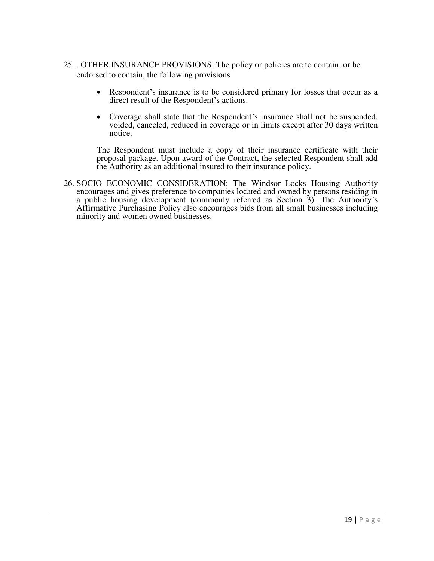- 25. . OTHER INSURANCE PROVISIONS: The policy or policies are to contain, or be endorsed to contain, the following provisions
	- Respondent's insurance is to be considered primary for losses that occur as a direct result of the Respondent's actions.
	- Coverage shall state that the Respondent's insurance shall not be suspended, voided, canceled, reduced in coverage or in limits except after 30 days written notice.

 The Respondent must include a copy of their insurance certificate with their proposal package. Upon award of the Contract, the selected Respondent shall add the Authority as an additional insured to their insurance policy.

26. SOCIO ECONOMIC CONSIDERATION: The Windsor Locks Housing Authority encourages and gives preference to companies located and owned by persons residing in a public housing development (commonly referred as Section 3). The Authority's Affirmative Purchasing Policy also encourages bids from all small businesses including minority and women owned businesses.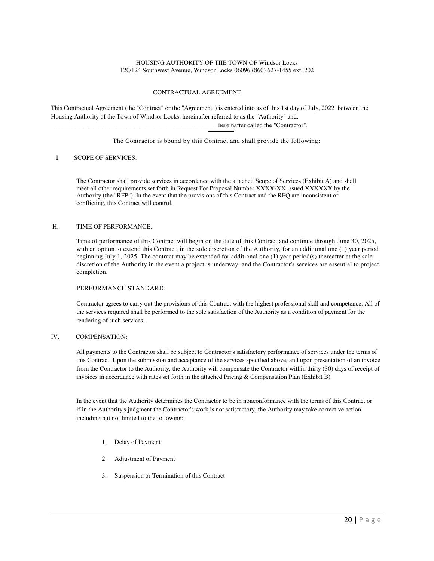#### HOUSING AUTHORITY OF TIIE TOWN OF Windsor Locks 120/124 Southwest Avenue, Windsor Locks 06096 (860) 627-1455 ext. 202

#### CONTRACTUAL AGREEMENT

This Contractual Agreement (the "Contract" or the "Agreement") is entered into as of this 1st day of July, 2022 between the Housing Authority of the Town of Windsor Locks, hereinafter referred to as the "Authority" and,

hereinafter called the "Contractor".

The Contractor is bound by this Contract and shall provide the following:

#### I. SCOPE OF SERVICES:

The Contractor shall provide services in accordance with the attached Scope of Services (Exhibit A) and shall meet all other requirements set forth in Request For Proposal Number XXXX-XX issued XXXXXX by the Authority (the "RFP"). In the event that the provisions of this Contract and the RFQ are inconsistent or conflicting, this Contract will control.

#### H. TIME OF PERFORMANCE:

Time of performance of this Contract will begin on the date of this Contract and continue through June 30, 2025, with an option to extend this Contract, in the sole discretion of the Authority, for an additional one (1) year period beginning July 1, 2025. The contract may be extended for additional one (1) year period(s) thereafter at the sole discretion of the Authority in the event a project is underway, and the Contractor's services are essential to project completion.

#### PERFORMANCE STANDARD:

Contractor agrees to carry out the provisions of this Contract with the highest professional skill and competence. All of the services required shall be performed to the sole satisfaction of the Authority as a condition of payment for the rendering of such services.

#### IV. COMPENSATION:

All payments to the Contractor shall be subject to Contractor's satisfactory performance of services under the terms of this Contract. Upon the submission and acceptance of the services specified above, and upon presentation of an invoice from the Contractor to the Authority, the Authority will compensate the Contractor within thirty (30) days of receipt of invoices in accordance with rates set forth in the attached Pricing & Compensation Plan (Exhibit B).

In the event that the Authority determines the Contractor to be in nonconformance with the terms of this Contract or if in the Authority's judgment the Contractor's work is not satisfactory, the Authority may take corrective action including but not limited to the following:

- 1. Delay of Payment
- 2. Adjustment of Payment
- 3. Suspension or Termination of this Contract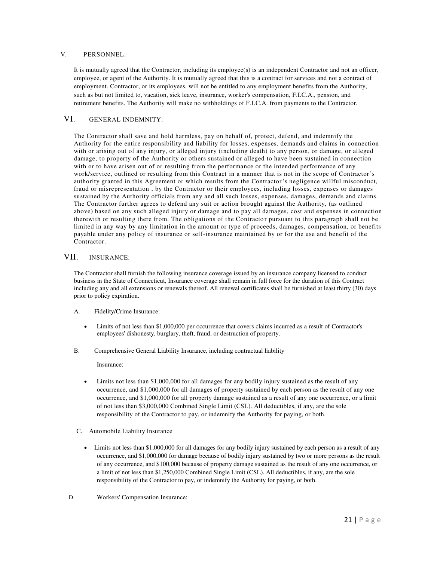#### V. PERSONNEL:

It is mutually agreed that the Contractor, including its employee(s) is an independent Contractor and not an officer, employee, or agent of the Authority. It is mutually agreed that this is a contract for services and not a contract of employment. Contractor, or its employees, will not be entitled to any employment benefits from the Authority, such as but not limited to, vacation, sick leave, insurance, worker's compensation, F.I.C.A., pension, and retirement benefits. The Authority will make no withholdings of F.I.C.A. from payments to the Contractor.

#### VI. GENERAL INDEMNITY:

The Contractor shall save and hold harmless, pay on behalf of, protect, defend, and indemnify the Authority for the entire responsibility and liability for losses, expenses, demands and claims in connection with or arising out of any injury, or alleged injury (including death) to any person, or damage, or alleged damage, to property of the Authority or others sustained or alleged to have been sustained in connection with or to have arisen out of or resulting from the performance or the intended performance of any work/service, outlined or resulting from this Contract in a manner that is not in the scope of Contractor's authority granted in this Agreement or which results from the Contractor's negligence willful misconduct, fraud or misrepresentation , by the Contractor or their employees, including losses, expenses or damages sustained by the Authority officials from any and all such losses, expenses, damages, demands and claims. The Contractor further agrees to defend any suit or action brought against the Authority, (as outlined above) based on any such alleged injury or damage and to pay all damages, cost and expenses in connection therewith or resulting there from. The obligations of the Contracto r pursuant to this paragraph shall not be limited in any way by any limitation in the amount or type of proceeds, damages, compensation, or benefits payable under any policy of insurance or self-insurance maintained by or for the use and benefit of the Contractor.

#### VII. INSURANCE:

The Contractor shall furnish the following insurance coverage issued by an insurance company licensed to conduct business in the State of Connecticut, Insurance coverage shall remain in full force for the duration of this Contract including any and all extensions or renewals thereof. All renewal certificates shall be furnished at least thirty (30) days prior to policy expiration.

- A. Fidelity/Crime Insurance:
	- Limits of not less than \$1,000,000 per occurrence that covers claims incurred as a result of Contractor's employees' dishonesty, burglary, theft, fraud, or destruction of property.
- B. Comprehensive General Liability Insurance, including contractual liability

Insurance:

- Limits not less than \$1,000,000 for all damages for any bodily injury sustained as the result of any occurrence, and \$1,000,000 for all damages of property sustained by each person as the result of any one occurrence, and \$1,000,000 for all property damage sustained as a result of any one occurrence, or a limit of not less than \$3,000,000 Combined Single Limit (CSL). All deductibles, if any, are the sole responsibility of the Contractor to pay, or indemnify the Authority for paying, or both.
- C. Automobile Liability Insurance
	- Limits not less than \$1,000,000 for all damages for any bodily injury sustained by each person as a result of any occurrence, and \$1,000,000 for damage because of bodily injury sustained by two or more persons as the result of any occurrence, and \$100,000 because of property damage sustained as the result of any one occurrence, or a limit of not less than \$1,250,000 Combined Single Limit (CSL). All deductibles, if any, are the sole responsibility of the Contractor to pay, or indemnify the Authority for paying, or both.
- D. Workers' Compensation Insurance: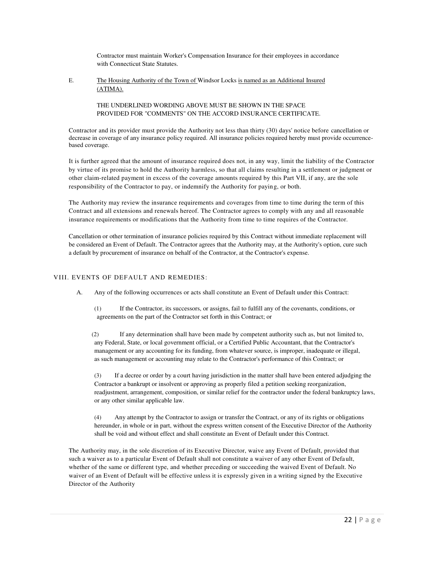Contractor must maintain Worker's Compensation Insurance for their employees in accordance with Connecticut State Statutes.

E. The Housing Authority of the Town of Windsor Locks is named as an Additional Insured (ATIMA).

> THE UNDERLINED WORDING ABOVE MUST BE SHOWN IN THE SPACE PROVIDED FOR "COMMENTS" ON THE ACCORD INSURANCE CERTIFICATE.

Contractor and its provider must provide the Authority not less than thirty (30) days' notice before cancellation or decrease in coverage of any insurance policy required. All insurance policies required hereby must provide occurrencebased coverage.

It is further agreed that the amount of insurance required does not, in any way, limit the liability of the Contractor by virtue of its promise to hold the Authority harmless, so that all claims resulting in a settlement or judgment or other claim-related payment in excess of the coverage amounts required by this Part VII, if any, are the sole responsibility of the Contractor to pay, or indemnify the Authority for paying, or both.

The Authority may review the insurance requirements and coverages from time to time during the term of this Contract and all extensions and renewals hereof. The Contractor agrees to comply with any and all reasonable insurance requirements or modifications that the Authority from time to time requires of the Contractor.

Cancellation or other termination of insurance policies required by this Contract without immediate replacement will be considered an Event of Default. The Contractor agrees that the Authority may, at the Authority's option, cure such a default by procurement of insurance on behalf of the Contractor, at the Contractor's expense.

#### VIII. EVENTS OF DEFAULT AND REMEDIES:

A. Any of the following occurrences or acts shall constitute an Event of Default under this Contract:

(1) If the Contractor, its successors, or assigns, fail to fulfill any of the covenants, conditions, or agreements on the part of the Contractor set forth in this Contract; or

(2) If any determination shall have been made by competent authority such as, but not limited to, any Federal, State, or local government official, or a Certified Public Accountant, that the Contractor's management or any accounting for its funding, from whatever source, is improper, inadequate or illegal, as such management or accounting may relate to the Contractor's performance of this Contract; or

(3) If a decree or order by a court having jurisdiction in the matter shall have been entered adjudging the Contractor a bankrupt or insolvent or approving as properly filed a petition seeking reorganization, readjustment, arrangement, composition, or similar relief for the contractor under the federal bankruptcy laws, or any other similar applicable law.

(4) Any attempt by the Contractor to assign or transfer the Contract, or any of its rights or obligations hereunder, in whole or in part, without the express written consent of the Executive Director of the Authority shall be void and without effect and shall constitute an Event of Default under this Contract.

The Authority may, in the sole discretion of its Executive Director, waive any Event of Default, provided that such a waiver as to a particular Event of Default shall not constitute a waiver of any other Event of Default, whether of the same or different type, and whether preceding or succeeding the waived Event of Default. No waiver of an Event of Default will be effective unless it is expressly given in a writing signed by the Executive Director of the Authority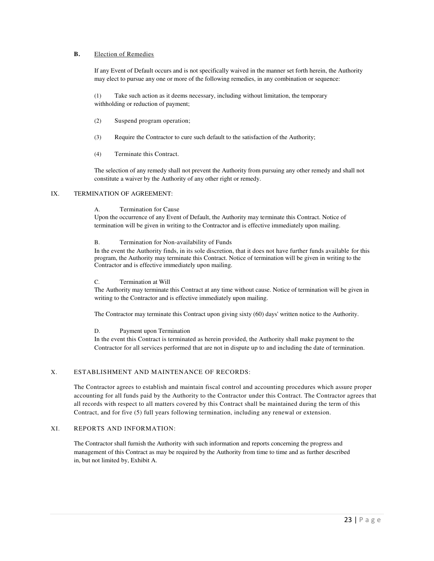#### **B.** Election of Remedies

If any Event of Default occurs and is not specifically waived in the manner set forth herein, the Authority may elect to pursue any one or more of the following remedies, in any combination or sequence:

(1) Take such action as it deems necessary, including without limitation, the temporary withholding or reduction of payment;

- (2) Suspend program operation;
- (3) Require the Contractor to cure such default to the satisfaction of the Authority;
- (4) Terminate this Contract.

The selection of any remedy shall not prevent the Authority from pursuing any other remedy and shall not constitute a waiver by the Authority of any other right or remedy.

#### IX. TERMINATION OF AGREEMENT:

#### A. Termination for Cause

Upon the occurrence of any Event of Default, the Authority may terminate this Contract. Notice of termination will be given in writing to the Contractor and is effective immediately upon mailing.

#### B. Termination for Non-availability of Funds

In the event the Authority finds, in its sole discretion, that it does not have further funds available for this program, the Authority may terminate this Contract. Notice of termination will be given in writing to the Contractor and is effective immediately upon mailing.

#### C. Termination at Will

The Authority may terminate this Contract at any time without cause. Notice of termination will be given in writing to the Contractor and is effective immediately upon mailing.

The Contractor may terminate this Contract upon giving sixty (60) days' written notice to the Authority.

#### D. Payment upon Termination

In the event this Contract is terminated as herein provided, the Authority shall make payment to the Contractor for all services performed that are not in dispute up to and including the date of termination.

#### X. ESTABLISHMENT AND MAINTENANCE OF RECORDS:

The Contractor agrees to establish and maintain fiscal control and accounting procedures which assure proper accounting for all funds paid by the Authority to the Contractor under this Contract. The Contractor agrees that all records with respect to all matters covered by this Contract shall be maintained during the term of this Contract, and for five (5) full years following termination, including any renewal or extension.

#### XI. REPORTS AND INFORMATION:

The Contractor shall furnish the Authority with such information and reports concerning the progress and management of this Contract as may be required by the Authority from time to time and as further described in, but not limited by, Exhibit A.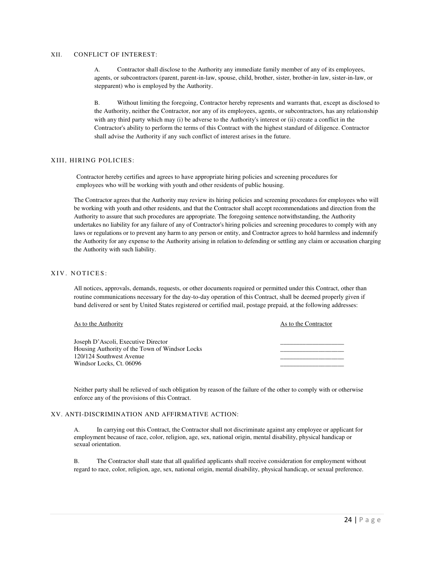#### XII. CONFLICT OF INTEREST:

A. Contractor shall disclose to the Authority any immediate family member of any of its employees, agents, or subcontractors (parent, parent-in-law, spouse, child, brother, sister, brother-in law, sister-in-law, or stepparent) who is employed by the Authority.

B. Without limiting the foregoing, Contractor hereby represents and warrants that, except as disclosed to the Authority, neither the Contractor, nor any of its employees, agents, or subcontractors, has any relationship with any third party which may (i) be adverse to the Authority's interest or (ii) create a conflict in the Contractor's ability to perform the terms of this Contract with the highest standard of diligence. Contractor shall advise the Authority if any such conflict of interest arises in the future.

#### XIII, HIRING POLICIES:

Contractor hereby certifies and agrees to have appropriate hiring policies and screening procedures for employees who will be working with youth and other residents of public housing.

The Contractor agrees that the Authority may review its hiring policies and screening procedures for employees who will be working with youth and other residents, and that the Contractor shall accept recommendations and direction from the Authority to assure that such procedures are appropriate. The foregoing sentence notwithstanding, the Authority undertakes no liability for any failure of any of Contractor's hiring policies and screening procedures to comply with any laws or regulations or to prevent any harm to any person or entity, and Contractor agrees to hold harmless and indemnify the Authority for any expense to the Authority arising in relation to defending or settling any claim or accusation charging the Authority with such liability.

#### XIV. NOTICES:

All notices, approvals, demands, requests, or other documents required or permitted under this Contract, other than routine communications necessary for the day-to-day operation of this Contract, shall be deemed properly given if band delivered or sent by United States registered or certified mail, postage prepaid, at the following addresses:

#### As to the Authority As to the Contractor

| Joseph D'Ascoli, Executive Director            |  |
|------------------------------------------------|--|
| Housing Authority of the Town of Windsor Locks |  |
| 120/124 Southwest Avenue                       |  |
| Windsor Locks. Ct. 06096                       |  |
|                                                |  |

Neither party shall be relieved of such obligation by reason of the failure of the other to comply with or otherwise enforce any of the provisions of this Contract.

#### XV. ANTI-DISCRIMINATION AND AFFIRMATIVE ACTION:

A. In carrying out this Contract, the Contractor shall not discriminate against any employee or applicant for employment because of race, color, religion, age, sex, national origin, mental disability, physical handicap or sexual orientation.

B. The Contractor shall state that all qualified applicants shall receive consideration for employment without regard to race, color, religion, age, sex, national origin, mental disability, physical handicap, or sexual preference.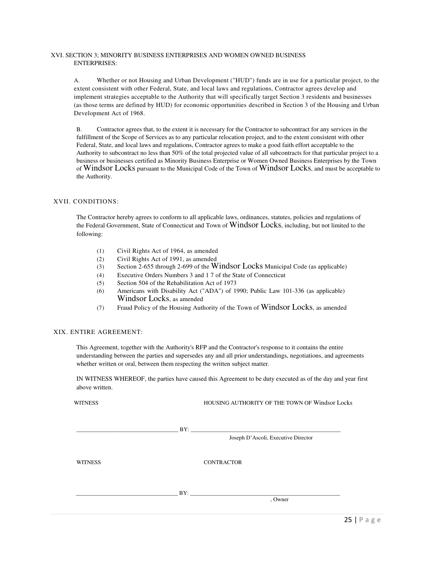#### XVI. SECTION 3; MINORITY BUSINESS ENTERPRISES AND WOMEN OWNED BUSINESS ENTERPRISES:

A. Whether or not Housing and Urban Development ("HUD") funds are in use for a particular project, to the extent consistent with other Federal, State, and local laws and regulations, Contractor agrees develop and implement strategies acceptable to the Authority that will specifically target Section 3 residents and businesses (as those terms are defined by HUD) for economic opportunities described in Section 3 of the Housing and Urban Development Act of 1968.

B. Contractor agrees that, to the extent it is necessary for the Contractor to subcontract for any services in the fulfillment of the Scope of Services as to any particular relocation project, and to the extent consistent with other Federal, State, and local laws and regulations, Contractor agrees to make a good faith effort acceptable to the Authority to subcontract no less than 50% of the total projected value of all subcontracts for that particular project to a business or businesses certified as Minority Business Enterprise or Women Owned Business Enterprises by the Town of Windsor Locks pursuant to the Municipal Code of the Town of Windsor Locks, and must be acceptable to the Authority.

#### XVII. CONDITIONS:

The Contractor hereby agrees to conform to all applicable laws, ordinances, statutes, policies and regulations of the Federal Government, State of Connecticut and Town of Windsor Locks, including, but not limited to the following:

- (1) Civil Rights Act of 1964, as amended
- (2) Civil Rights Act of 1991, as amended
- (3) Section 2-655 through 2-699 of the Windsor Locks Municipal Code (as applicable)
- (4) Executive Orders Numbers 3 and 1 7 of the State of Connecticut
- (5) Section 504 of the Rehabilitation Act of 1973
- (6) Americans with Disability Act ("ADA") of 1990; Public Law 101-336 (as applicable) Windsor Locks, as amended
- (7) Fraud Policy of the Housing Authority of the Town of Windsor Locks, as amended

#### XIX. ENTIRE AGREEMENT:

This Agreement, together with the Authority's RFP and the Contractor's response to it contains the entire understanding between the parties and supersedes any and all prior understandings, negotiations, and agreements whether written or oral, between them respecting the written subject matter.

IN WITNESS WHEREOF, the parties have caused this Agreement to be duty executed as of the day and year first above written.

WITNESS HOUSING AUTHORITY OF THE TOWN OF Windsor Locks

\_\_\_\_\_\_\_\_\_\_\_\_\_\_\_\_\_\_\_\_\_\_\_\_\_\_\_\_\_\_\_\_\_\_\_\_ BY: \_\_\_\_\_\_\_\_\_\_\_\_\_\_\_\_\_\_\_\_\_\_\_\_\_\_\_\_\_\_\_\_\_\_\_\_\_\_\_\_\_\_\_\_\_\_\_\_\_\_\_\_\_

Joseph D'Ascoli, Executive Director

WITNESS CONTRACTOR

 $\Box$  BY:

, Owner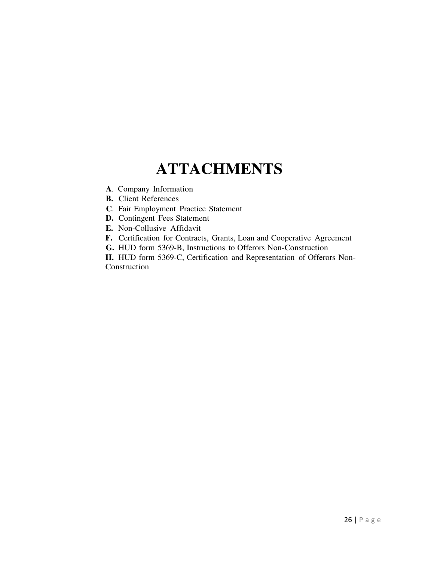# **ATTACHMENTS**

- **A**. Company Information
- **B.** Client References
- **C**. Fair Employment Practice Statement
- **D.** Contingent Fees Statement
- **E.** Non-Collusive Affidavit
- **F.** Certification for Contracts, Grants, Loan and Cooperative Agreement
- **G.** HUD form 5369-B, Instructions to Offerors Non-Construction

**H.** HUD form 5369-C, Certification and Representation of Offerors Non-Construction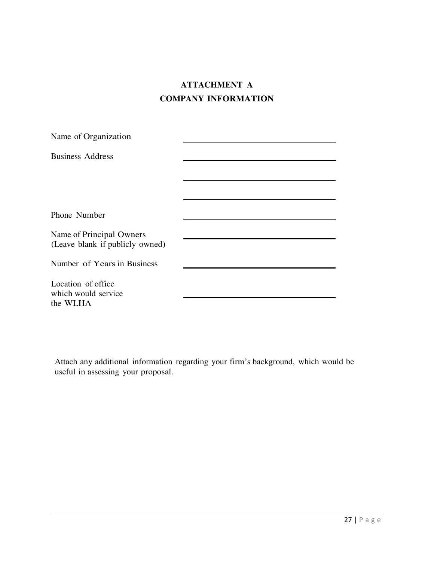## **ATTACHMENT A COMPANY INFORMATION**

| Name of Organization                                        |  |
|-------------------------------------------------------------|--|
| <b>Business Address</b>                                     |  |
|                                                             |  |
|                                                             |  |
|                                                             |  |
| Phone Number                                                |  |
| Name of Principal Owners<br>(Leave blank if publicly owned) |  |
| Number of Years in Business                                 |  |
| Location of office<br>which would service<br>the WLHA       |  |

Attach any additional information regarding your firm's background, which would be useful in assessing your proposal.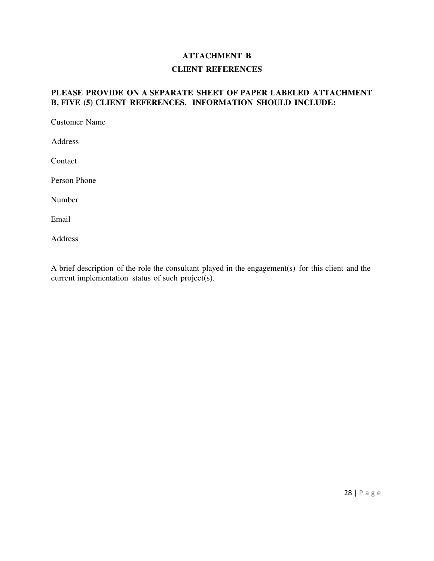## **ATTACHMENT B**

### **CLIENT REFERENCES**

## **PLEASE PROVIDE ON A SEPARATE SHEET OF PAPER LABELED ATTACHMENT B, FIVE (5) CLIENT REFERENCES. INFORMATION SHOULD INCLUDE:**

Customer Name

Address

Contact

Person Phone

Number

Email

Address

A brief description of the role the consultant played in the engagement(s) for this client and the current implementation status of such project(s).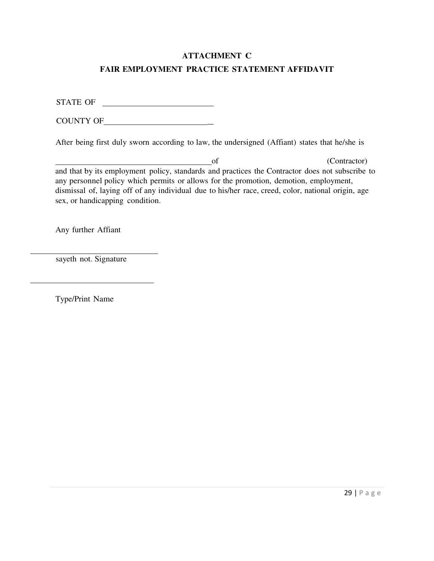## **ATTACHMENT C**

### **FAIR EMPLOYMENT PRACTICE STATEMENT AFFIDAVIT**

STATE OF

COUNTY OF \_

After being first duly sworn according to law, the undersigned (Affiant) states that he/she is

of (Contractor) and that by its employment policy, standards and practices the Contractor does not subscribe to any personnel policy which permits or allows for the promotion, demotion, employment, dismissal of, laying off of any individual due to his/her race, creed, color, national origin, age sex, or handicapping condition.

Any further Affiant

sayeth not. Signature

Type/Print Name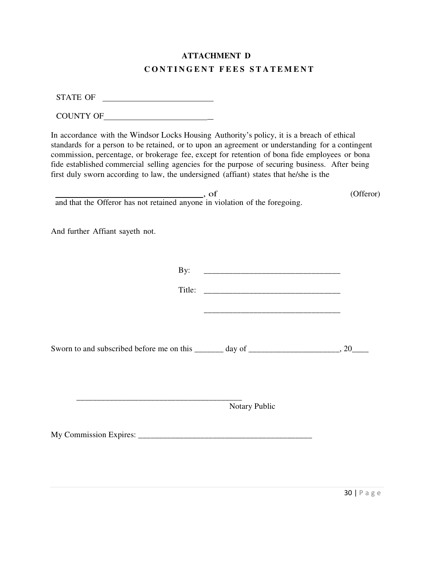## **ATTACHMENT D C O N T I N G E N T F E E S S T A T E M E N T**

STATE OF

| <b>COUNTY OF</b> |
|------------------|
|                  |

In accordance with the Windsor Locks Housing Authority's policy, it is a breach of ethical standards for a person to be retained, or to upon an agreement or understanding for a contingent commission, percentage, or brokerage fee, except for retention of bona fide employees or bona fide established commercial selling agencies for the purpose of securing business. After being first duly sworn according to law, the undersigned (affiant) states that he/she is the

example and the contract of the contract of the contract of the contract of the contract of the contract of the contract of the contract of the contract of the contract of the contract of the contract of the contract of th and that the Offeror has not retained anyone in violation of the foregoing.

And further Affiant sayeth not.

By: \_\_\_\_\_\_\_\_\_\_\_\_\_\_\_\_\_\_\_\_\_\_\_\_\_\_\_\_\_\_\_\_\_

Title:

Sworn to and subscribed before me on this  $\frac{1}{2}$  day of  $\frac{1}{20}$ , 20

 \_\_\_\_\_\_\_\_\_\_\_\_\_\_\_\_\_\_\_\_\_\_\_\_\_\_\_\_\_\_\_\_\_\_\_\_\_\_\_\_ Notary Public

My Commission Expires: \_\_\_\_\_\_\_\_\_\_\_\_\_\_\_\_\_\_\_\_\_\_\_\_\_\_\_\_\_\_\_\_\_\_\_\_\_\_\_\_\_\_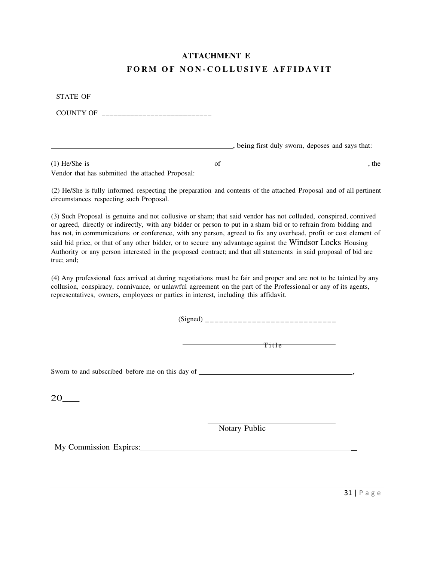## **ATTACHMENT E**

## FORM OF NON-COLLUSIVE AFFIDAVIT

| <b>STATE OF</b>                                                                                                                                                                                                                                                                                                                                                 |                                                                                                                                                                                                                                    |
|-----------------------------------------------------------------------------------------------------------------------------------------------------------------------------------------------------------------------------------------------------------------------------------------------------------------------------------------------------------------|------------------------------------------------------------------------------------------------------------------------------------------------------------------------------------------------------------------------------------|
|                                                                                                                                                                                                                                                                                                                                                                 |                                                                                                                                                                                                                                    |
|                                                                                                                                                                                                                                                                                                                                                                 | being first duly sworn, deposes and says that:                                                                                                                                                                                     |
| $(1)$ He/She is<br>Vendor that has submitted the attached Proposal:                                                                                                                                                                                                                                                                                             |                                                                                                                                                                                                                                    |
| circumstances respecting such Proposal.                                                                                                                                                                                                                                                                                                                         | (2) He/She is fully informed respecting the preparation and contents of the attached Proposal and of all pertinent                                                                                                                 |
| or agreed, directly or indirectly, with any bidder or person to put in a sham bid or to refrain from bidding and<br>said bid price, or that of any other bidder, or to secure any advantage against the Windsor Locks Housing<br>Authority or any person interested in the proposed contract; and that all statements in said proposal of bid are<br>true; and; | (3) Such Proposal is genuine and not collusive or sham; that said vendor has not colluded, conspired, connived<br>has not, in communications or conference, with any person, agreed to fix any overhead, profit or cost element of |
| collusion, conspiracy, connivance, or unlawful agreement on the part of the Professional or any of its agents,<br>representatives, owners, employees or parties in interest, including this affidavit.                                                                                                                                                          | (4) Any professional fees arrived at during negotiations must be fair and proper and are not to be tainted by any                                                                                                                  |
|                                                                                                                                                                                                                                                                                                                                                                 |                                                                                                                                                                                                                                    |
|                                                                                                                                                                                                                                                                                                                                                                 | Title <b>Theodore</b>                                                                                                                                                                                                              |
| Sworn to and subscribed before me on this day of ________________________________                                                                                                                                                                                                                                                                               |                                                                                                                                                                                                                                    |
| 20                                                                                                                                                                                                                                                                                                                                                              |                                                                                                                                                                                                                                    |
|                                                                                                                                                                                                                                                                                                                                                                 | Notary Public                                                                                                                                                                                                                      |
| My Commission Expires:                                                                                                                                                                                                                                                                                                                                          |                                                                                                                                                                                                                                    |
|                                                                                                                                                                                                                                                                                                                                                                 |                                                                                                                                                                                                                                    |